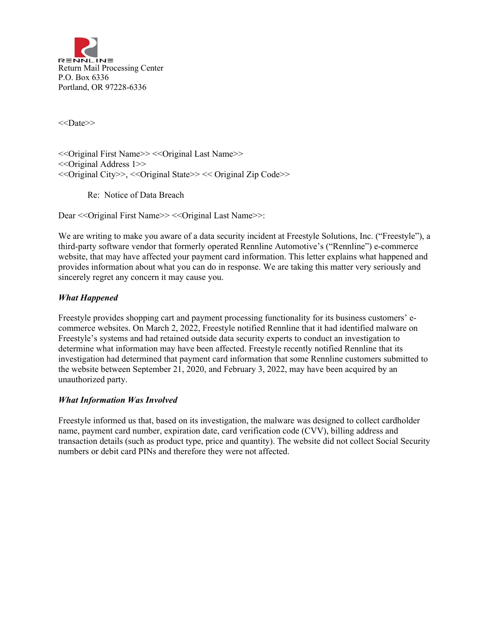

<<Date>>

<<Original First Name>> <<Original Last Name>> <<Original Address 1>> <<Original City>>, <<Original State>> << Original Zip Code>>

Re: Notice of Data Breach

Dear << Original First Name>> << Original Last Name>>:

We are writing to make you aware of a data security incident at Freestyle Solutions, Inc. ("Freestyle"), a third-party software vendor that formerly operated Rennline Automotive's ("Rennline") e-commerce website, that may have affected your payment card information. This letter explains what happened and provides information about what you can do in response. We are taking this matter very seriously and sincerely regret any concern it may cause you.

## *What Happened*

Freestyle provides shopping cart and payment processing functionality for its business customers' ecommerce websites. On March 2, 2022, Freestyle notified Rennline that it had identified malware on Freestyle's systems and had retained outside data security experts to conduct an investigation to determine what information may have been affected. Freestyle recently notified Rennline that its investigation had determined that payment card information that some Rennline customers submitted to the website between September 21, 2020, and February 3, 2022, may have been acquired by an unauthorized party.

## *What Information Was Involved*

Freestyle informed us that, based on its investigation, the malware was designed to collect cardholder name, payment card number, expiration date, card verification code (CVV), billing address and transaction details (such as product type, price and quantity). The website did not collect Social Security numbers or debit card PINs and therefore they were not affected.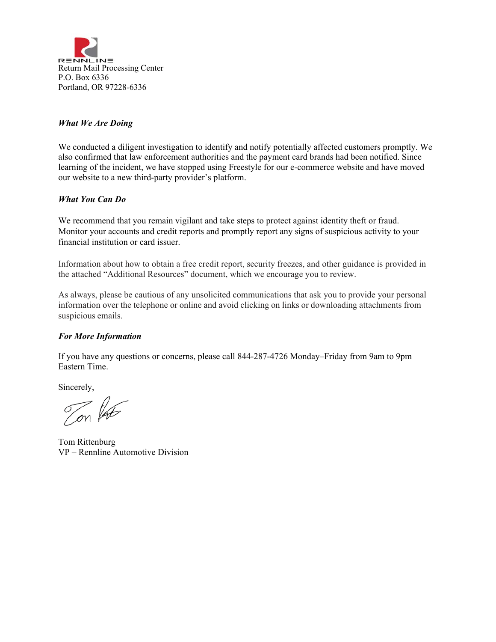

# *What We Are Doing*

We conducted a diligent investigation to identify and notify potentially affected customers promptly. We also confirmed that law enforcement authorities and the payment card brands had been notified. Since learning of the incident, we have stopped using Freestyle for our e-commerce website and have moved our website to a new third-party provider's platform.

# *What You Can Do*

We recommend that you remain vigilant and take steps to protect against identity theft or fraud. Monitor your accounts and credit reports and promptly report any signs of suspicious activity to your financial institution or card issuer.

Information about how to obtain a free credit report, security freezes, and other guidance is provided in the attached "Additional Resources" document, which we encourage you to review.

As always, please be cautious of any unsolicited communications that ask you to provide your personal information over the telephone or online and avoid clicking on links or downloading attachments from suspicious emails.

## *For More Information*

If you have any questions or concerns, please call 844-287-4726 Monday–Friday from 9am to 9pm Eastern Time.

Sincerely,

on lat

Tom Rittenburg VP – Rennline Automotive Division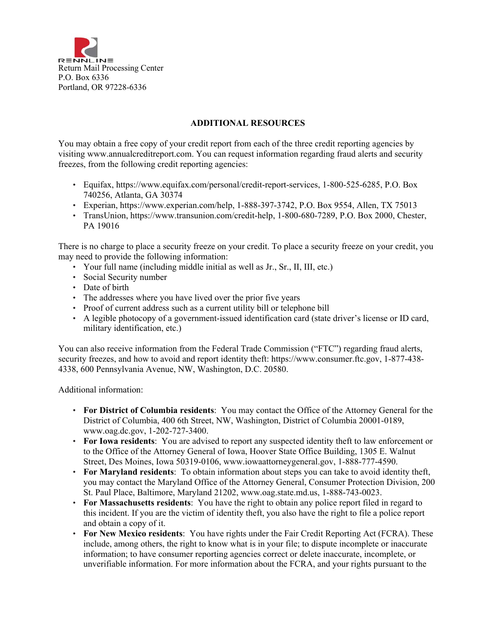

# **ADDITIONAL RESOURCES**

You may obtain a free copy of your credit report from each of the three credit reporting agencies by visiting www.annualcreditreport.com. You can request information regarding fraud alerts and security freezes, from the following credit reporting agencies:

- Equifax, https://www.equifax.com/personal/credit-report-services, 1-800-525-6285, P.O. Box 740256, Atlanta, GA 30374
- Experian, https://www.experian.com/help, 1-888-397-3742, P.O. Box 9554, Allen, TX 75013
- TransUnion, https://www.transunion.com/credit-help, 1-800-680-7289, P.O. Box 2000, Chester, PA 19016

There is no charge to place a security freeze on your credit. To place a security freeze on your credit, you may need to provide the following information:

- Your full name (including middle initial as well as Jr., Sr., II, III, etc.)
- Social Security number
- Date of birth
- The addresses where you have lived over the prior five years
- Proof of current address such as a current utility bill or telephone bill
- A legible photocopy of a government-issued identification card (state driver's license or ID card, military identification, etc.)

You can also receive information from the Federal Trade Commission ("FTC") regarding fraud alerts, security freezes, and how to avoid and report identity theft: https://www.consumer.ftc.gov, 1-877-438- 4338, 600 Pennsylvania Avenue, NW, Washington, D.C. 20580.

Additional information:

- **For District of Columbia residents**: You may contact the Office of the Attorney General for the District of Columbia, 400 6th Street, NW, Washington, District of Columbia 20001-0189, www.oag.dc.gov, 1-202-727-3400.
- **For Iowa residents**: You are advised to report any suspected identity theft to law enforcement or to the Office of the Attorney General of Iowa, Hoover State Office Building, 1305 E. Walnut Street, Des Moines, Iowa 50319-0106, www.iowaattorneygeneral.gov, 1-888-777-4590.
- **For Maryland residents**: To obtain information about steps you can take to avoid identity theft, you may contact the Maryland Office of the Attorney General, Consumer Protection Division, 200 St. Paul Place, Baltimore, Maryland 21202, www.oag.state.md.us, 1-888-743-0023.
- **For Massachusetts residents**: You have the right to obtain any police report filed in regard to this incident. If you are the victim of identity theft, you also have the right to file a police report and obtain a copy of it.
- **For New Mexico residents**: You have rights under the Fair Credit Reporting Act (FCRA). These include, among others, the right to know what is in your file; to dispute incomplete or inaccurate information; to have consumer reporting agencies correct or delete inaccurate, incomplete, or unverifiable information. For more information about the FCRA, and your rights pursuant to the